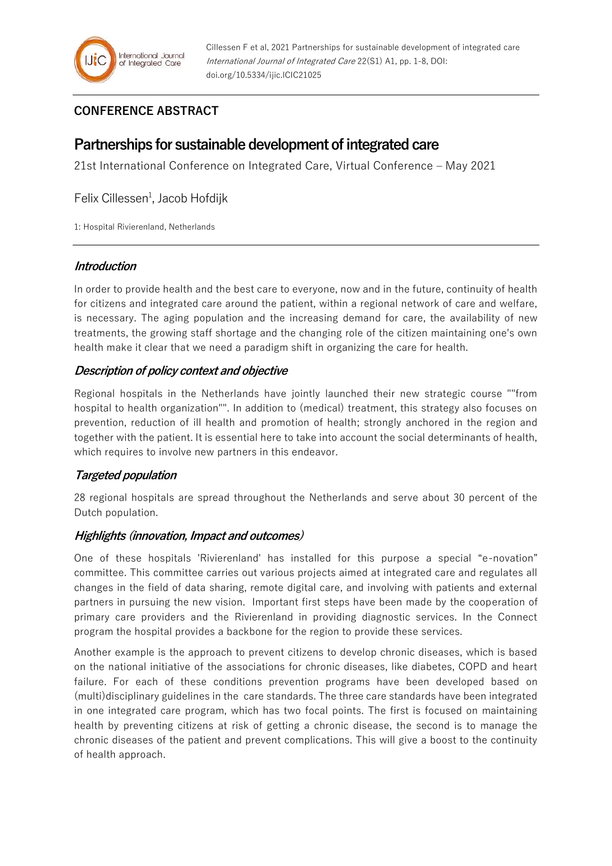## **CONFERENCE ABSTRACT**

# **Partnerships for sustainable development of integrated care**

21st International Conference on Integrated Care, Virtual Conference – May 2021

Felix Cillessen<sup>1</sup>, Jacob Hofdijk

1: Hospital Rivierenland, Netherlands

#### **Introduction**

In order to provide health and the best care to everyone, now and in the future, continuity of health for citizens and integrated care around the patient, within a regional network of care and welfare, is necessary. The aging population and the increasing demand for care, the availability of new treatments, the growing staff shortage and the changing role of the citizen maintaining one's own health make it clear that we need a paradigm shift in organizing the care for health.

## **Description of policy context and objective**

Regional hospitals in the Netherlands have jointly launched their new strategic course ""from hospital to health organization"". In addition to (medical) treatment, this strategy also focuses on prevention, reduction of ill health and promotion of health; strongly anchored in the region and together with the patient. It is essential here to take into account the social determinants of health, which requires to involve new partners in this endeavor.

## **Targeted population**

28 regional hospitals are spread throughout the Netherlands and serve about 30 percent of the Dutch population.

## **Highlights (innovation, Impact and outcomes)**

One of these hospitals 'Rivierenland' has installed for this purpose a special "e-novation" committee. This committee carries out various projects aimed at integrated care and regulates all changes in the field of data sharing, remote digital care, and involving with patients and external partners in pursuing the new vision. Important first steps have been made by the cooperation of primary care providers and the Rivierenland in providing diagnostic services. In the Connect program the hospital provides a backbone for the region to provide these services.

Another example is the approach to prevent citizens to develop chronic diseases, which is based on the national initiative of the associations for chronic diseases, like diabetes, COPD and heart failure. For each of these conditions prevention programs have been developed based on (multi)disciplinary guidelines in the care standards. The three care standards have been integrated in one integrated care program, which has two focal points. The first is focused on maintaining health by preventing citizens at risk of getting a chronic disease, the second is to manage the chronic diseases of the patient and prevent complications. This will give a boost to the continuity of health approach.